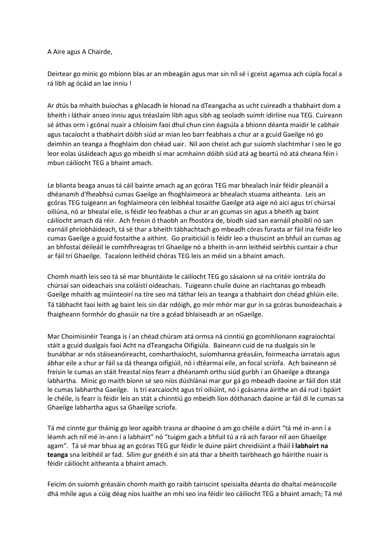A Aire agus A Chairde,

Deirtear go minic go mbíonn blas ar an mbeagán agus mar sin níl sé i gceist agamsa ach cúpla focal a rá libh ag ócáid an lae inniu !

Ar dtús ba mhaith buíochas a ghlacadh le hIonad na dTeangacha as ucht cuireadh a thabhairt dom a bheith i láthair anseo inniu agus tréaslaím libh agus sibh ag seoladh suímh idirlíne nua TEG. Cuireann sé áthas orm i gcónaí nuair a chloisim faoi dhul chun cinn éagsúla a bhíonn déanta maidir le cabhair agus tacaíocht a thabhairt dóibh siúd ar mian leo barr feabhais a chur ar a gcuid Gaeilge nó go deimhin an teanga a fhoghlaim don chéad uair. Níl aon cheist ach gur suíomh slachtmhar í seo le go leor eolas úsáideach agus go mbeidh sí mar acmhainn dóibh siúd atá ag beartú nó atá cheana féin i mbun cáilíocht TEG a bhaint amach.

Le blianta beaga anuas tá cáil bainte amach ag an gcóras TEG mar bhealach inár féidir pleanáil a dhéanamh d'fheabhsú cumas Gaeilge an fhoghlaimeora ar bhealach stuama aitheanta. Leis an gcóras TEG tuigeann an foghlaimeora cén leibhéal tosaithe Gaeilge atá aige nó aici agus trí chúrsaí oiliúna, nó ar bhealaí eile, is féidir leo feabhas a chur ar an gcumas sin agus a bheith ag baint cáilíocht amach dá réir. Ach freisin ó thaobh an fhostóra de, bíodh siad san earnáil phoiblí nó san earnáil phríobháideach, tá sé thar a bheith tábhachtach go mbeadh córas furasta ar fáil ina féidir leo cumas Gaeilge a gcuid fostaithe a aithint. Go praiticiúil is féidir leo a thuiscint an bhfuil an cumas ag an bhfostaí déileáil le comhfhreagras trí Ghaeilge nó a bheith in-ann leithéid seirbhís cuntair a chur ar fáil trí Ghaeilge. Tacaíonn leithéid chóras TEG leis an méid sin a bhaint amach.

Chomh maith leis seo tá sé mar bhuntáiste le cáilíocht TEG go sásaíonn sé na critéir iontrála do chúrsaí san oideachais sna coláistí oideachais. Tuigeann chuile duine an riachtanas go mbeadh Gaeilge mhaith ag múinteoirí na tíre seo má táthar leis an teanga a thabhairt don chéad ghlúin eile. Tá tábhacht faoi leith ag baint leis sin dár ndóigh, go mór mhór mar gur in sa gcóras bunoideachais a fhaigheann formhór do ghasúir na tíre a gcéad bhlaiseadh ar an nGaeilge.

Mar Choimisinéir Teanga is í an chéad chúram atá ormsa ná cinntiú go gcomhlíonann eagraíochtaí stáit a gcuid dualgais faoi Acht na dTeangacha Oifigiúla. Baineann cuid de na dualgais sin le bunábhar ar nós stáiseanóireacht, comharthaíocht, suíomhanna gréasáin, foirmeacha iarratais agus ábhar eile a chur ar fáil sa dá theanga oifigiúil, nó i dtéarmaí eile, an focal scríofa. Ach baineann sé freisin le cumas an stáit freastal níos fearr a dhéanamh orthu siúd gurbh í an Ghaeilge a dteanga labhartha. Minic go maith bíonn sé seo níos dúshlánaí mar gur gá go mbeadh daoine ar fáil don stát le cumas labhartha Gaeilge. Is trí earcaíocht agus trí oiliúint, nó i gcásanna áirithe an dá rud i bpáirt le chéile, is fearr is féidir leis an stát a chinntiú go mbeidh líon dóthanach daoine ar fáil di le cumas sa Ghaeilge labhartha agus sa Ghaeilge scríofa.

Tá mé cinnte gur tháinig go leor agaibh trasna ar dhaoine ó am go chéile a dúirt "tá mé in-ann í a léamh ach níl mé in-ann í a labhairt" nó "tuigim gach a bhfuil tú a rá ach faraor níl aon Ghaeilge agam". Tá sé mar bhua ag an gcóras TEG gur féidir le duine páirt chreidiúint a fháil **i labhairt na teanga** sna leibhéil ar fad. Sílim gur gnéith é sin atá thar a bheith tairbheach go háirithe nuair is féidir cáilíocht aitheanta a bhaint amach.

Feicim ón suíomh gréasáin chomh maith go raibh tairiscint speisialta déanta do dhaltaí meánscoile dhá mhíle agus a cúig déag níos luaithe an mhí seo ina féidir leo cáilíocht TEG a bhaint amach; Tá mé